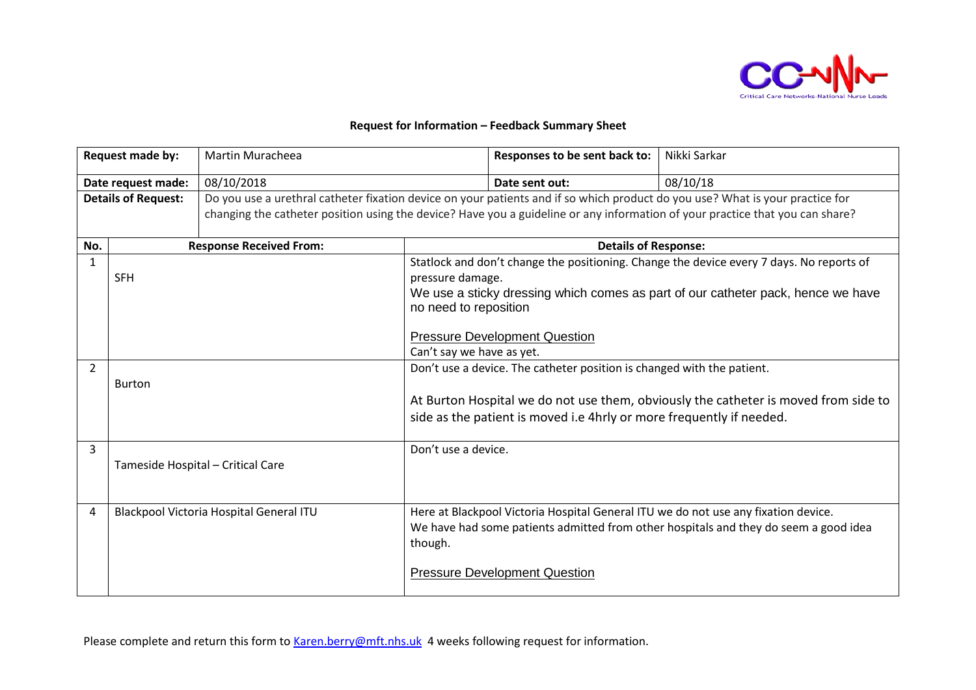

## **Request for Information – Feedback Summary Sheet**

| Request made by:           |               | Martin Muracheea                                                                                                              |                             | Responses to be sent back to:                                          | Nikki Sarkar                                                                             |  |
|----------------------------|---------------|-------------------------------------------------------------------------------------------------------------------------------|-----------------------------|------------------------------------------------------------------------|------------------------------------------------------------------------------------------|--|
| Date request made:         |               | 08/10/2018                                                                                                                    |                             | Date sent out:                                                         | 08/10/18                                                                                 |  |
| <b>Details of Request:</b> |               | Do you use a urethral catheter fixation device on your patients and if so which product do you use? What is your practice for |                             |                                                                        |                                                                                          |  |
|                            |               | changing the catheter position using the device? Have you a guideline or any information of your practice that you can share? |                             |                                                                        |                                                                                          |  |
| No.                        |               | <b>Response Received From:</b>                                                                                                | <b>Details of Response:</b> |                                                                        |                                                                                          |  |
| $\mathbf{1}$               |               |                                                                                                                               |                             |                                                                        | Statlock and don't change the positioning. Change the device every 7 days. No reports of |  |
|                            | <b>SFH</b>    |                                                                                                                               | pressure damage.            |                                                                        |                                                                                          |  |
|                            |               |                                                                                                                               | no need to reposition       |                                                                        | We use a sticky dressing which comes as part of our catheter pack, hence we have         |  |
|                            |               |                                                                                                                               |                             | <b>Pressure Development Question</b>                                   |                                                                                          |  |
|                            |               |                                                                                                                               | Can't say we have as yet.   |                                                                        |                                                                                          |  |
| $\overline{2}$             |               |                                                                                                                               |                             | Don't use a device. The catheter position is changed with the patient. |                                                                                          |  |
|                            | <b>Burton</b> |                                                                                                                               |                             |                                                                        |                                                                                          |  |
|                            |               |                                                                                                                               |                             |                                                                        | At Burton Hospital we do not use them, obviously the catheter is moved from side to      |  |
|                            |               |                                                                                                                               |                             | side as the patient is moved i.e 4hrly or more frequently if needed.   |                                                                                          |  |
| 3                          |               |                                                                                                                               | Don't use a device.         |                                                                        |                                                                                          |  |
|                            |               | Tameside Hospital - Critical Care                                                                                             |                             |                                                                        |                                                                                          |  |
|                            |               |                                                                                                                               |                             |                                                                        |                                                                                          |  |
| 4                          |               | Blackpool Victoria Hospital General ITU                                                                                       |                             |                                                                        | Here at Blackpool Victoria Hospital General ITU we do not use any fixation device.       |  |
|                            |               |                                                                                                                               |                             |                                                                        | We have had some patients admitted from other hospitals and they do seem a good idea     |  |
|                            |               |                                                                                                                               | though.                     |                                                                        |                                                                                          |  |
|                            |               |                                                                                                                               |                             |                                                                        |                                                                                          |  |
|                            |               |                                                                                                                               |                             | <b>Pressure Development Question</b>                                   |                                                                                          |  |
|                            |               |                                                                                                                               |                             |                                                                        |                                                                                          |  |

Please complete and return this form to [Karen.berry@mft.nhs.uk](mailto:Karen.berry@mft.nhs.uk) 4 weeks following request for information.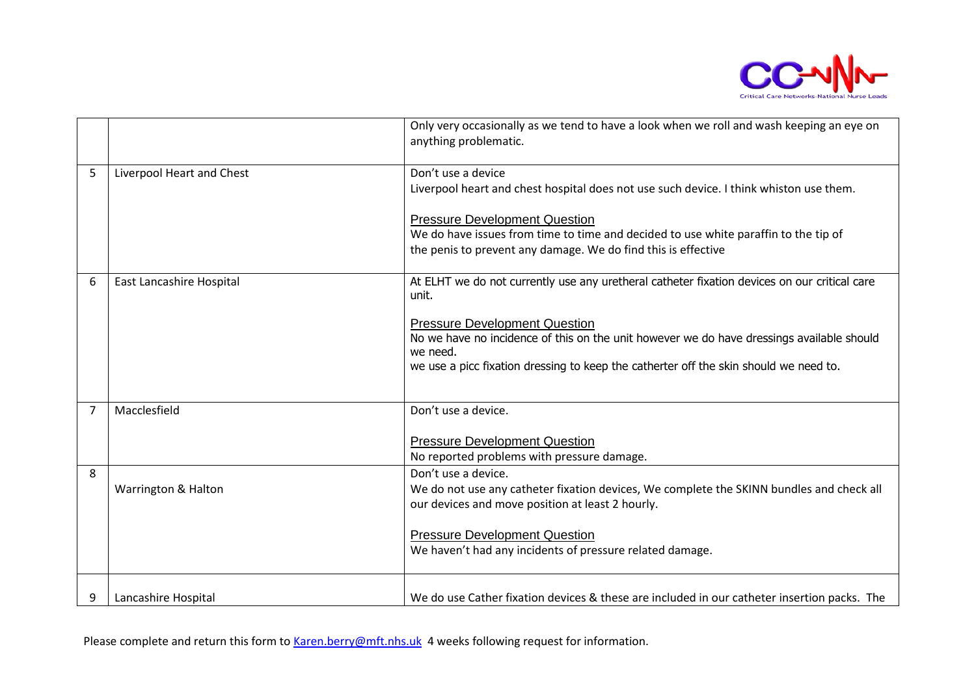

| anything problematic.<br>Don't use a device<br>5<br>Liverpool Heart and Chest<br>Liverpool heart and chest hospital does not use such device. I think whiston use them.<br><b>Pressure Development Question</b><br>We do have issues from time to time and decided to use white paraffin to the tip of<br>the penis to prevent any damage. We do find this is effective<br>6<br>East Lancashire Hospital<br>unit.<br><b>Pressure Development Question</b><br>No we have no incidence of this on the unit however we do have dressings available should<br>we need.<br>we use a picc fixation dressing to keep the catherter off the skin should we need to.<br>Don't use a device.<br>Macclesfield<br>7<br><b>Pressure Development Question</b><br>No reported problems with pressure damage.<br>Don't use a device.<br>8<br>Warrington & Halton<br>our devices and move position at least 2 hourly.<br><b>Pressure Development Question</b><br>We haven't had any incidents of pressure related damage. |  |                                                                                              |
|----------------------------------------------------------------------------------------------------------------------------------------------------------------------------------------------------------------------------------------------------------------------------------------------------------------------------------------------------------------------------------------------------------------------------------------------------------------------------------------------------------------------------------------------------------------------------------------------------------------------------------------------------------------------------------------------------------------------------------------------------------------------------------------------------------------------------------------------------------------------------------------------------------------------------------------------------------------------------------------------------------|--|----------------------------------------------------------------------------------------------|
|                                                                                                                                                                                                                                                                                                                                                                                                                                                                                                                                                                                                                                                                                                                                                                                                                                                                                                                                                                                                          |  | Only very occasionally as we tend to have a look when we roll and wash keeping an eye on     |
|                                                                                                                                                                                                                                                                                                                                                                                                                                                                                                                                                                                                                                                                                                                                                                                                                                                                                                                                                                                                          |  |                                                                                              |
|                                                                                                                                                                                                                                                                                                                                                                                                                                                                                                                                                                                                                                                                                                                                                                                                                                                                                                                                                                                                          |  |                                                                                              |
|                                                                                                                                                                                                                                                                                                                                                                                                                                                                                                                                                                                                                                                                                                                                                                                                                                                                                                                                                                                                          |  |                                                                                              |
|                                                                                                                                                                                                                                                                                                                                                                                                                                                                                                                                                                                                                                                                                                                                                                                                                                                                                                                                                                                                          |  |                                                                                              |
|                                                                                                                                                                                                                                                                                                                                                                                                                                                                                                                                                                                                                                                                                                                                                                                                                                                                                                                                                                                                          |  |                                                                                              |
|                                                                                                                                                                                                                                                                                                                                                                                                                                                                                                                                                                                                                                                                                                                                                                                                                                                                                                                                                                                                          |  | At ELHT we do not currently use any uretheral catheter fixation devices on our critical care |
|                                                                                                                                                                                                                                                                                                                                                                                                                                                                                                                                                                                                                                                                                                                                                                                                                                                                                                                                                                                                          |  |                                                                                              |
|                                                                                                                                                                                                                                                                                                                                                                                                                                                                                                                                                                                                                                                                                                                                                                                                                                                                                                                                                                                                          |  |                                                                                              |
|                                                                                                                                                                                                                                                                                                                                                                                                                                                                                                                                                                                                                                                                                                                                                                                                                                                                                                                                                                                                          |  |                                                                                              |
|                                                                                                                                                                                                                                                                                                                                                                                                                                                                                                                                                                                                                                                                                                                                                                                                                                                                                                                                                                                                          |  |                                                                                              |
|                                                                                                                                                                                                                                                                                                                                                                                                                                                                                                                                                                                                                                                                                                                                                                                                                                                                                                                                                                                                          |  |                                                                                              |
|                                                                                                                                                                                                                                                                                                                                                                                                                                                                                                                                                                                                                                                                                                                                                                                                                                                                                                                                                                                                          |  |                                                                                              |
|                                                                                                                                                                                                                                                                                                                                                                                                                                                                                                                                                                                                                                                                                                                                                                                                                                                                                                                                                                                                          |  |                                                                                              |
|                                                                                                                                                                                                                                                                                                                                                                                                                                                                                                                                                                                                                                                                                                                                                                                                                                                                                                                                                                                                          |  |                                                                                              |
|                                                                                                                                                                                                                                                                                                                                                                                                                                                                                                                                                                                                                                                                                                                                                                                                                                                                                                                                                                                                          |  |                                                                                              |
|                                                                                                                                                                                                                                                                                                                                                                                                                                                                                                                                                                                                                                                                                                                                                                                                                                                                                                                                                                                                          |  | We do not use any catheter fixation devices, We complete the SKINN bundles and check all     |
|                                                                                                                                                                                                                                                                                                                                                                                                                                                                                                                                                                                                                                                                                                                                                                                                                                                                                                                                                                                                          |  |                                                                                              |
|                                                                                                                                                                                                                                                                                                                                                                                                                                                                                                                                                                                                                                                                                                                                                                                                                                                                                                                                                                                                          |  |                                                                                              |
|                                                                                                                                                                                                                                                                                                                                                                                                                                                                                                                                                                                                                                                                                                                                                                                                                                                                                                                                                                                                          |  |                                                                                              |
|                                                                                                                                                                                                                                                                                                                                                                                                                                                                                                                                                                                                                                                                                                                                                                                                                                                                                                                                                                                                          |  |                                                                                              |
| 9<br>Lancashire Hospital                                                                                                                                                                                                                                                                                                                                                                                                                                                                                                                                                                                                                                                                                                                                                                                                                                                                                                                                                                                 |  | We do use Cather fixation devices & these are included in our catheter insertion packs. The  |

Please complete and return this form to [Karen.berry@mft.nhs.uk](mailto:Karen.berry@mft.nhs.uk) 4 weeks following request for information.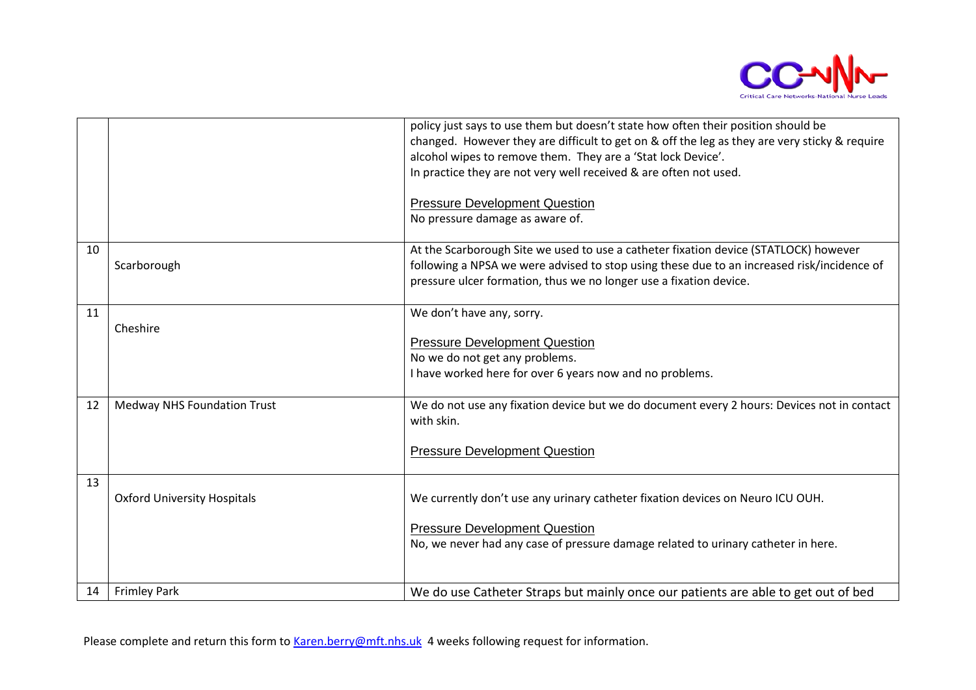

|    |                                    | policy just says to use them but doesn't state how often their position should be<br>changed. However they are difficult to get on & off the leg as they are very sticky & require<br>alcohol wipes to remove them. They are a 'Stat lock Device'.<br>In practice they are not very well received & are often not used.<br><b>Pressure Development Question</b><br>No pressure damage as aware of. |
|----|------------------------------------|----------------------------------------------------------------------------------------------------------------------------------------------------------------------------------------------------------------------------------------------------------------------------------------------------------------------------------------------------------------------------------------------------|
| 10 | Scarborough                        | At the Scarborough Site we used to use a catheter fixation device (STATLOCK) however<br>following a NPSA we were advised to stop using these due to an increased risk/incidence of<br>pressure ulcer formation, thus we no longer use a fixation device.                                                                                                                                           |
| 11 | Cheshire                           | We don't have any, sorry.<br><b>Pressure Development Question</b><br>No we do not get any problems.<br>I have worked here for over 6 years now and no problems.                                                                                                                                                                                                                                    |
| 12 | <b>Medway NHS Foundation Trust</b> | We do not use any fixation device but we do document every 2 hours: Devices not in contact<br>with skin.<br><b>Pressure Development Question</b>                                                                                                                                                                                                                                                   |
| 13 | <b>Oxford University Hospitals</b> | We currently don't use any urinary catheter fixation devices on Neuro ICU OUH.<br><b>Pressure Development Question</b><br>No, we never had any case of pressure damage related to urinary catheter in here.                                                                                                                                                                                        |
| 14 | <b>Frimley Park</b>                | We do use Catheter Straps but mainly once our patients are able to get out of bed                                                                                                                                                                                                                                                                                                                  |

Please complete and return this form to [Karen.berry@mft.nhs.uk](mailto:Karen.berry@mft.nhs.uk) 4 weeks following request for information.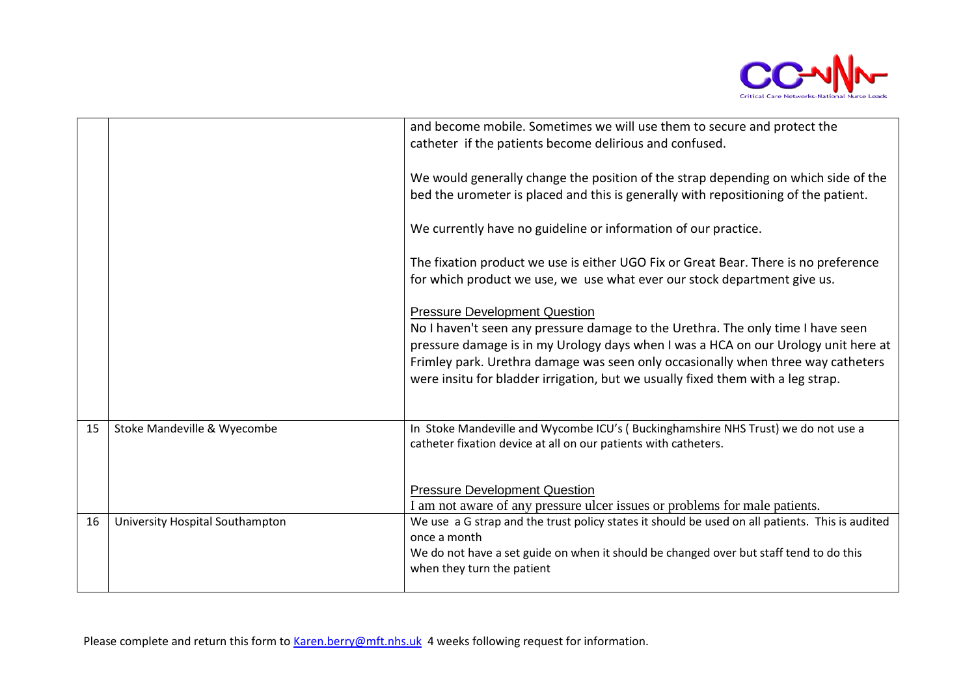

|    |                                 | and become mobile. Sometimes we will use them to secure and protect the<br>catheter if the patients become delirious and confused.                                                                                                                                                                                                                                                   |
|----|---------------------------------|--------------------------------------------------------------------------------------------------------------------------------------------------------------------------------------------------------------------------------------------------------------------------------------------------------------------------------------------------------------------------------------|
|    |                                 | We would generally change the position of the strap depending on which side of the<br>bed the urometer is placed and this is generally with repositioning of the patient.                                                                                                                                                                                                            |
|    |                                 | We currently have no guideline or information of our practice.                                                                                                                                                                                                                                                                                                                       |
|    |                                 | The fixation product we use is either UGO Fix or Great Bear. There is no preference<br>for which product we use, we use what ever our stock department give us.                                                                                                                                                                                                                      |
|    |                                 | <b>Pressure Development Question</b><br>No I haven't seen any pressure damage to the Urethra. The only time I have seen<br>pressure damage is in my Urology days when I was a HCA on our Urology unit here at<br>Frimley park. Urethra damage was seen only occasionally when three way catheters<br>were insitu for bladder irrigation, but we usually fixed them with a leg strap. |
| 15 | Stoke Mandeville & Wyecombe     | In Stoke Mandeville and Wycombe ICU's (Buckinghamshire NHS Trust) we do not use a<br>catheter fixation device at all on our patients with catheters.                                                                                                                                                                                                                                 |
|    |                                 | <b>Pressure Development Question</b><br>I am not aware of any pressure ulcer issues or problems for male patients.                                                                                                                                                                                                                                                                   |
| 16 | University Hospital Southampton | We use a G strap and the trust policy states it should be used on all patients. This is audited<br>once a month<br>We do not have a set guide on when it should be changed over but staff tend to do this<br>when they turn the patient                                                                                                                                              |